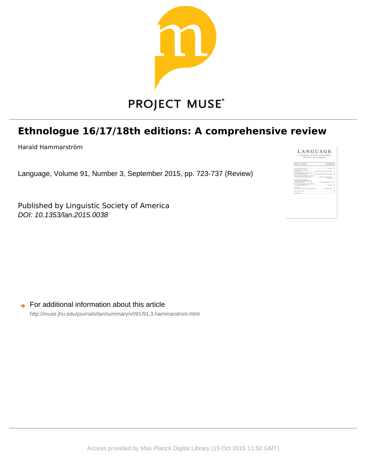

# Ethnologue 16/17/18th editions: A comprehensive review

Harald Hammarström

Language, Volume 91, Number 3, September 2015, pp. 723-737 (Review)

Published by Linguistic Society of America DOI: 10.1353/lan.2015.0038



For additional information about this article  $\Rightarrow$ <http://muse.jhu.edu/journals/lan/summary/v091/91.3.hammarstrom.html>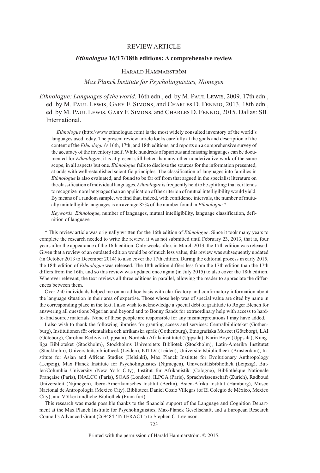## REVIEW ARTICLE

## *Ethnologue* **16/17/18th editions: A comprehensive review**

#### Harald Hammarström

### *Max Planck Institute for Psycholinguistics, Nijmegen*

*Ethnologue: Languages of the world.* 16th edn., ed. by M. PAUL LEWIS, 2009. 17th edn., ed. by M. Paul Lewis, Gary F. Simons, and Charles D. Fennig, 2013. 18th edn., ed. by M. Paul Lewis, Gary F. Simons, and Charles D. Fennig, 2015. Dallas: SIL International.

*Ethnologue* (http://www.ethnologue.com) is the most widely consulted inventory of the world's languages used today. The present review article looks carefully at the goals and description of the content of the *Ethnologue*'s 16th, 17th, and 18th editions, and reports on a comprehensive survey of the accuracy of the inventory itself. While hundreds of spurious and missing languages can be documented for *Ethnologue*, it is at present still better than any other nonderivative work of the same scope, in all aspects but one. *Ethnologue* fails to disclose the sources for the information presented, at odds with well-established scientific principles. The classification of languages into families in *Ethnologue* is also evaluated, and found to be far off from that argued in the specialist literature on the classification of individual languages.*Ethnologue* is frequently held to be splitting: that is, it tends to recognize more languages than an application of the criterion of mutual intelligibility would yield. By means of a random sample, we find that, indeed, with confidence intervals, the number of mutually unintelligible languages is on average 85% of the number found in *Ethnologue*.\*

*Keywords*: *Ethnologue*, number of languages, mutual intelligibility, language classification, definition of language

\* This review article was originally written for the 16th edition of *Ethnologue*. Since it took many years to complete the research needed to write the review, it was not submitted until February 23, 2013, that is, four years after the appearance of the 16th edition. Only weeks after, in March 2013, the 17th edition was released. Given that a review of an outdated edition would be of much less value, this review was subsequently updated (in October 2013 to December 2014) to also cover the 17th edition. During the editorial process in early 2015, the 18th edition of *Ethnologue* was released. The 18th edition differs less from the 17th edition than the 17th differs from the 16th, and so this review was updated once again (in July 2015) to also cover the 18th edition. Wherever relevant, the text reviews all three editions in parallel, allowing the reader to appreciate the differences between them.

Over 250 individuals helped me on an ad hoc basis with clarificatory and confirmatory information about the language situation in their area of expertise. Those whose help was of special value are cited by name in the corresponding place in the text. I also wish to acknowledge a special debt of gratitude to Roger Blench for answering all questions Nigerian and beyond and to Bonny Sands for extraordinary help with access to hardto-find source materials. None of these people are responsible for any misinterpretations I may have added.

I also wish to thank the following libraries for granting access and services: Centralbiblioteket (Gothenburg), Institutionen för orientaliska och afrikanska språk (Gothenburg), Etnografiska Muséet (Göteborg), LAI (Göteborg), Carolina Rediviva (Uppsala), Nordiska Afrikainstitutet (Uppsala), Karin Boye (Uppsala), Kungliga Biblioteket (Stockholm), Stockholms Universitets Bibliotek (Stockholm), Latin-Amerika Institutet (Stockholm), Universiteitsbibliotheek (Leiden), KITLV (Leiden), Universiteitsbibliotheek (Amsterdam), Institute for Asian and African Studies (Helsinki), Max Planck Institute for Evolutionary Anthropology (Leipzig), Max Planck Institute for Psycholinguistics (Nijmegen), Universitätsbibliothek (Leipzig), Butler/Columbia University (New York City), Institut für Afrikanistik (Cologne), Bibliothèque Nationale Française (Paris), INALCO (Paris), SOAS (London), ILPGA (Paris), Sprachwissenschaft (Zürich), Radboud Universiteit (Nijmegen), Ibero-Amerikanisches Institut (Berlin), Asien-Afrika Institut (Hamburg), Museo Nacional de Antropología (Mexico City), Biblioteca Daniel Cosío Villegas (of El Colegio de México, Mexico City), and Völkerkundliche Bibliothek (Frankfurt).

This research was made possible thanks to the financial support of the Language and Cognition Department at the Max Planck Institute for Psycholinguistics, Max-Planck Gesellschaft, and a European Research Council's Advanced Grant (269484 'INTERACT') to Stephen C. Levinson.

Printed with the permission of Harald Hammarström. © 2015.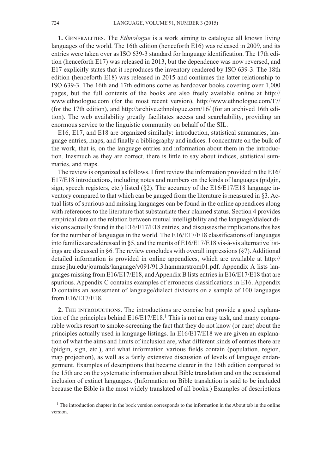**1.** GENERALITIES. The *Ethnologue* is a work aiming to catalogue all known living languages of the world. The 16th edition (henceforth E16) was released in 2009, and its entries were taken over as ISO 639-3 standard for language identification. The 17th edition (henceforth E17) was released in 2013, but the dependence was now reversed, and E17 explicitly states that it reproduces the inventory rendered by ISO 639-3. The 18th edition (henceforth E18) was released in 2015 and continues the latter relationship to ISO 639-3. The 16th and 17th editions come as hardcover books covering over 1,000 pages, but the full contents of the books are also freely available online at [http://](http://www.ethnologue.com) [www.ethnologue.com](http://www.ethnologue.com) (for the most recent version), http://www.ethnologue.com/17/ (for the 17th edition), and http://archive.ethnologue.com/16/ (for an archived 16th edition). The web availability greatly facilitates access and searchability, providing an enormous service to the linguistic community on behalf of the SIL.

E16, E17, and E18 are organized similarly: introduction, statistical summaries, language entries, maps, and finally a bibliography and indices. I concentrate on the bulk of the work, that is, on the language entries and information about them in the introduction. Inasmuch as they are correct, there is little to say about indices, statistical summaries, and maps.

The review is organized as follows. I first review the information provided in the E16/ E17/E18 introductions, including notes and numbers on the kinds of languages (pidgin, sign, speech registers, etc.) listed (§2). The accuracy of the E16/E17/E18 language inventory compared to that which can be gauged from the literature is measured in §3. Actual lists of spurious and missing languages can be found in the online appendices along with references to the literature that substantiate their claimed status. Section 4 provides empirical data on the relation between mutual intelligibility and the language/dialect divisions actually found in the E16/E17/E18 entries, and discusses the implications this has for the number of languages in the world. The  $E16/E17/E18$  classifications of languages into families are addressed in §5, and the merits of E16/E17/E18 vis-à-vis alternative listings are discussed in §6. The review concludes with overall impressions ( $\S7$ ). Additional detailed information is provided in online appendices, which are available at [http://](http://muse.jhu.edu/journals/language/v091/91.3.hammarstrom01.pdf) [muse.jhu.edu/journals/language/v091/91.3.hammarstrom01.pdf.](http://muse.jhu.edu/journals/language/v091/91.3.hammarstrom01.pdf) Appendix A lists languages missing from E16/E17/E18, and Appendix B lists entries in E16/E17/E18 that are spurious. Appendix C contains examples of erroneous classifications in E16. Appendix D contains an assessment of language/dialect divisions on a sample of 100 languages from E16/E17/E18.

**2.** The introductions. The introductions are concise but provide a good explanation of the principles behind  $E16/E17/E18<sup>1</sup>$ . This is not an easy task, and many comparable works resort to smoke-screening the fact that they do not know (or care) about the principles actually used in language listings. In E16/E17/E18 we are given an explanation of what the aims and limits of inclusion are, what different kinds of entries there are (pidgin, sign, etc.), and what information various fields contain (population, region, map projection), as well as a fairly extensive discussion of levels of language endangerment. Examples of descriptions that became clearer in the 16th edition compared to the 15th are on the systematic information about Bible translation and on the occasional inclusion of extinct languages. (Information on Bible translation is said to be included because the Bible is the most widely translated of all books.) Examples of descriptions

<sup>&</sup>lt;sup>1</sup> The introduction chapter in the book version corresponds to the information in the About tab in the online version.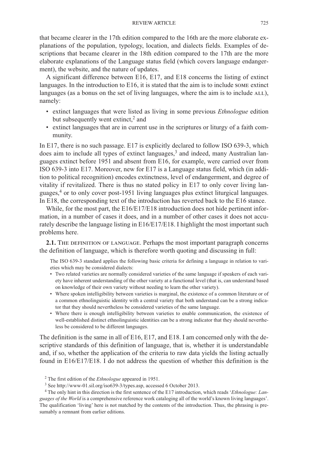that became clearer in the 17th edition compared to the 16th are the more elaborate explanations of the population, typology, location, and dialects fields. Examples of descriptions that became clearer in the 18th edition compared to the 17th are the more elaborate explanations of the Language status field (which covers language endangerment), the website, and the nature of updates.

A significant difference between E16, E17, and E18 concerns the listing of extinct languages. In the introduction to E16, it is stated that the aim is to include some extinct languages (as a bonus on the set of living languages, where the aim is to include ALL), namely:

- extinct languages that were listed as living in some previous *Ethnologue* edition but subsequently went extinct, $2$  and
- extinct languages that are in current use in the scriptures or liturgy of a faith community.

In E17, there is no such passage. E17 is explicitly declared to follow ISO 639-3, which does aim to include all types of extinct languages, $3$  and indeed, many Australian languages extinct before 1951 and absent from E16, for example, were carried over from ISO 639-3 into E17. Moreover, new for E17 is a Language status field, which (in addition to political recognition) encodes extinctness, level of endangerment, and degree of vitality if revitalized. There is thus no stated policy in E17 to only cover living languages, $4$  or to only cover post-1951 living languages plus extinct liturgical languages. In E18, the corresponding text of the introduction has reverted back to the E16 stance.

While, for the most part, the E16/E17/E18 introduction does not hide pertinent information, in a number of cases it does, and in a number of other cases it does not accurately describe the language listing in E16/E17/E18. I highlight the most important such problems here.

**2.1.** THE DEFINITION OF LANGUAGE. Perhaps the most important paragraph concerns the definition of language, which is therefore worth quoting and discussing in full:

The ISO 639-3 standard applies the following basic criteria for defining a language in relation to varieties which may be considered dialects:

- Two related varieties are normally considered varieties of the same language if speakers of each variety have inherent understanding of the other variety at a functional level (that is, can understand based on knowledge of their own variety without needing to learn the other variety).
- Where spoken intelligibility between varieties is marginal, the existence of a common literature or of a common ethnolinguistic identity with a central variety that both understand can be a strong indicator that they should nevertheless be considered varieties of the same language.
- Where there is enough intelligibility between varieties to enable communication, the existence of well-established distinct ethnolinguistic identities can be a strong indicator that they should nevertheless be considered to be different languages.

The definition is the same in all of E16, E17, and E18. I am concerned only with the descriptive standards of this definition of language, that is, whether it is understandable and, if so, whether the application of the criteria to raw data yields the listing actually found in E16/E17/E18. I do not address the question of whether this definition is the

<sup>4</sup> The only hint in this direction is the first sentence of the E17 introduction, which reads '*Ethnologue: Languages of the World* is a comprehensive reference work cataloging all of the world's known living languages'. The qualification 'living' here is not matched by the contents of the introduction. Thus, the phrasing is presumably a remnant from earlier editions.

<sup>2</sup> The first edition of the *Ethnologue* appeared in 1951.

<sup>3</sup> See http://www-01.sil.org/iso639-3/types.asp, accessed 6 October 2013.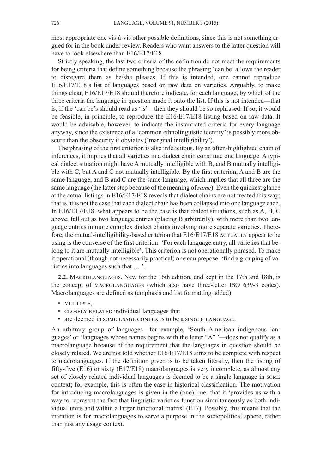most appropriate one vis-à-vis other possible definitions, since this is not something argued for in the book under review. Readers who want answers to the latter question will have to look elsewhere than E16/E17/E18.

Strictly speaking, the last two criteria of the definition do not meet the requirements for being criteria that define something because the phrasing 'can be' allows the reader to disregard them as he/she pleases. If this is intended, one cannot reproduce E16/E17/E18's list of languages based on raw data on varieties. Arguably, to make things clear, E16/E17/E18 should therefore indicate, for each language, by which of the three criteria the language in question made it onto the list. If this is not intended—that is, if the 'can be's should read as 'is'—then they should be so rephrased. If so, it would be feasible, in principle, to reproduce the E16/E17/E18 listing based on raw data. It would be advisable, however, to indicate the instantiated criteria for every language anyway, since the existence of a 'common ethnolinguistic identity' is possibly more obscure than the obscurity it obviates ('marginal intelligibility').

The phrasing of the first criterion is also infelicitous. By an often-highlighted chain of inferences, it implies that all varieties in a dialect chain constitute one language. A typical dialect situation might have A mutually intelligible with B, and B mutually intelligible with C, but A and C not mutually intelligible. By the first criterion, A and B are the same language, and B and C are the same language, which implies that all three are the same language (the latter step because of the meaning of*same*). Even the quickest glance at the actual listings in E16/E17/E18 reveals that dialect chains are not treated this way; that is, it is not the case that each dialect chain has been collapsed into one language each. In E16/E17/E18, what appears to be the case is that dialect situations, such as A, B, C above, fall out as two language entries (placing B arbitrarily), with more than two language entries in more complex dialect chains involving more separate varieties. Therefore, the mutual-intelligibility-based criterion that  $E16/E17/E18$   $ACTUALY$  appear to be using is the converse of the first criterion: 'For each language entry, all varieties that belong to it are mutually intelligible'. This criterion is not operationally phrased. To make it operational (though not necessarily practical) one can prepose: 'find a grouping of varieties into languages such that … '.

**2.2.** Macrolanguages. New for the 16th edition, and kept in the 17th and 18th, is the concept of macrolanguages (which also have three-letter ISO 639-3 codes). Macrolanguages are defined as (emphasis and list formatting added):

- MULTIPLE,
- CLOSELY RELATED individual languages that
- are deemed in some usage contexts to be a single language.

An arbitrary group of languages—for example, 'South American indigenous languages' or 'languages whose names begins with the letter "A" '—does not qualify as a macrolanguage because of the requirement that the languages in question should be closely related. We are not told whether E16/E17/E18 aims to be complete with respect to macrolanguages. If the definition given is to be taken literally, then the listing of fifty-five (E16) or sixty (E17/E18) macrolanguages is very incomplete, as almost any set of closely related individual languages is deemed to be a single language in some context; for example, this is often the case in historical classification. The motivation for introducing macrolanguages is given in the (one) line: that it 'provides us with a way to represent the fact that linguistic varieties function simultaneously as both individual units and within a larger functional matrix' (E17). Possibly, this means that the intention is for macrolanguages to serve a purpose in the sociopolitical sphere, rather than just any usage context.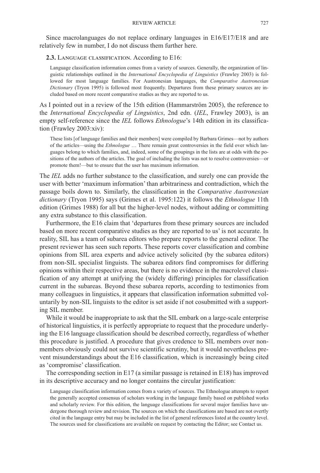Since macrolanguages do not replace ordinary languages in E16/E17/E18 and are relatively few in number, I do not discuss them further here.

**2.3.** Language classification. According to E16:

Language classification information comes from a variety of sources. Generally, the organization of linguistic relationships outlined in the *International Encyclopedia of Linguistics* (Frawley 2003) is followed for most language families. For Austronesian languages, the *Comparative Austronesian Dictionary* (Tryon 1995) is followed most frequently. Departures from these primary sources are included based on more recent comparative studies as they are reported to us.

As I pointed out in a review of the 15th edition (Hammarström 2005), the reference to the *International Encyclopedia of Linguistics*, 2nd edn. (*IEL*, Frawley 2003), is an empty self-reference since the *IEL* follows *Ethnologue*'s 14th edition in its classification (Frawley 2003:xiv):

These lists [of language families and their members] were compiled by Barbara Grimes—not by authors of the articles—using the *Ethnologue* … There remain great controversies in the field over which languages belong to which families, and, indeed, some of the groupings in the lists are at odds with the positions of the authors of the articles. The goal of including the lists was not to resolve controversies—or promote them!—but to ensure that the user has maximum information.

The *IEL* adds no further substance to the classification, and surely one can provide the user with better 'maximum information' than arbitrariness and contradiction, which the passage boils down to. Similarly, the classification in the *Comparative Austronesian dictionary* (Tryon 1995) says (Grimes et al. 1995:122) it follows the *Ethnologue* 11th edition (Grimes 1988) for all but the higher-level nodes, without adding or committing any extra substance to this classification.

Furthermore, the E16 claim that 'departures from these primary sources are included based on more recent comparative studies as they are reported to us' is not accurate. In reality, SIL has a team of subarea editors who prepare reports to the general editor. The present reviewer has seen such reports. These reports cover classification and combine opinions from SIL area experts and advice actively solicited (by the subarea editors) from non-SIL specialist linguists. The subarea editors find compromises for differing opinions within their respective areas, but there is no evidence in the macrolevel classification of any attempt at unifying the (widely differing) principles for classification current in the subareas. Beyond these subarea reports, according to testimonies from many colleagues in linguistics, it appears that classification information submitted voluntarily by non-SIL linguists to the editor is set aside if not cosubmitted with a supporting SIL member.

While it would be inappropriate to ask that the SIL embark on a large-scale enterprise of historical linguistics, it is perfectly appropriate to request that the procedure underlying the E16 language classification should be described correctly, regardless of whether this procedure is justified. A procedure that gives credence to SIL members over nonmembers obviously could not survive scientific scrutiny, but it would nevertheless prevent misunderstandings about the E16 classification, which is increasingly being cited as 'compromise' classification.

The corresponding section in E17 (a similar passage is retained in E18) has improved in its descriptive accuracy and no longer contains the circular justification:

Language classification information comes from a variety of sources. The Ethnologue attempts to report the generally accepted consensus of scholars working in the language family based on published works and scholarly review. For this edition, the language classifications for several major families have undergone thorough review and revision. The sources on which the classifications are based are not overtly cited in the language entry but may be included in the list of general references listed at the country level. The sources used for classifications are available on request by contacting the Editor; see Contact us.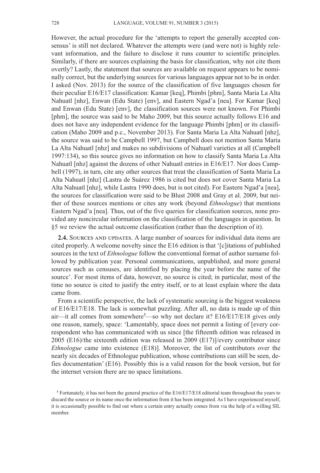However, the actual procedure for the 'attempts to report the generally accepted consensus' is still not declared. Whatever the attempts were (and were not) is highly relevant information, and the failure to disclose it runs counter to scientific principles. Similarly, if there are sources explaining the basis for classification, why not cite them overtly? Lastly, the statement that sources are available on request appears to be nominally correct, but the underlying sources for various languages appear not to be in order. I asked (Nov. 2013) for the source of the classification of five languages chosen for their peculiar E16/E17 classification: Kamar [keq], Phimbi [phm], Santa Maria La Alta Nahuatl [nhz], Enwan (Edu State) [env], and Eastern Ngad'a [nea]. For Kamar [keq] and Enwan (Edu State) [env], the classification sources were not known. For Phimbi [phm], the source was said to be Maho 2009, but this source actually follows E16 and does not have any independent evidence for the language Phimbi [phm] or its classification (Maho 2009 and p.c., November 2013). For Santa Maria La Alta Nahuatl [nhz], the source was said to be Campbell 1997, but Campbell does not mention Santa Maria La Alta Nahuatl [nhz] and makes no subdivisions of Nahuatl varieties at all (Campbell 1997:134), so this source gives no information on how to classify Santa Maria La Alta Nahuatl [nhz] against the dozens of other Nahuatl entries in E16/E17. Nor does Campbell (1997), in turn, cite any other sources that treat the classification of Santa Maria La Alta Nahuatl [nhz] (Lastra de Suárez 1986 is cited but does not cover Santa Maria La Alta Nahuatl [nhz], while Lastra 1990 does, but is not cited). For Eastern Ngad'a [nea], the sources for classification were said to be Blust 2008 and Gray et al. 2009, but neither of these sources mentions or cites any work (beyond *Ethnologue*) that mentions Eastern Ngad'a [nea]. Thus, out of the five queries for classification sources, none provided any noncircular information on the classification of the languages in question. In §5 we review the actual outcome classification (rather than the description of it).

**2.4.** SOURCES AND UPDATES. A large number of sources for individual data items are cited properly. A welcome novelty since the E16 edition is that '[c]itations of published sources in the text of *Ethnologue* follow the conventional format of author surname followed by publication year. Personal communications, unpublished, and more general sources such as censuses, are identified by placing the year before the name of the source'. For most items of data, however, no source is cited; in particular, most of the time no source is cited to justify the entry itself, or to at least explain where the data came from.

From a scientific perspective, the lack of systematic sourcing is the biggest weakness of E16/E17/E18. The lack is somewhat puzzling. After all, no data is made up of thin air—it all comes from somewhere<sup>5</sup>—so why not declare it? E16/E17/E18 gives only one reason, namely, space: 'Lamentably, space does not permit a listing of [every correspondent who has communicated with us since [the fifteenth edition was released in 2005 (E16)/the sixteenth edition was released in 2009 (E17)]/every contributor since *Ethnologue* came into existence (E18)]. Moreover, the list of contributors over the nearly six decades of Ethnologue publication, whose contributions can still be seen, defies documentation' (E16). Possibly this is a valid reason for the book version, but for the internet version there are no space limitations.

<sup>5</sup> Fortunately, it has not been the general practice of the E16/E17/E18 editorial team throughout the years to discard the source or its name once the information from it has been integrated. As I have experienced myself, it is occasionally possible to find out where a certain entry actually comes from via the help of a willing SIL member.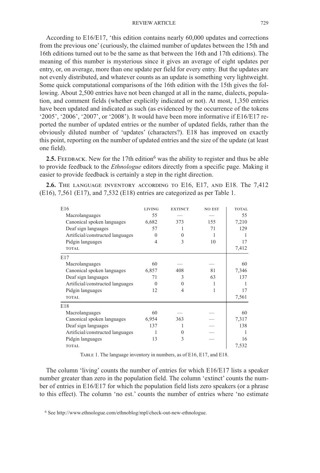According to E16/E17, 'this edition contains nearly 60,000 updates and corrections from the previous one' (curiously, the claimed number of updates between the 15th and 16th editions turned out to be the same as that between the 16th and 17th editions). The meaning of this number is mysterious since it gives an average of eight updates per entry, or, on average, more than one update per field for every entry. But the updates are not evenly distributed, and whatever counts as an update is something very lightweight. Some quick computational comparisons of the 16th edition with the 15th gives the following. About 2,500 entries have not been changed at all in the name, dialects, population, and comment fields (whether explicitly indicated or not). At most, 1,350 entries have been updated and indicated as such (as evidenced by the occurrence of the tokens '2005', '2006', '2007', or '2008'). It would have been more informative if E16/E17 reported the number of updated entries or the number of updated fields, rather than the obviously diluted number of 'updates' (characters?). E18 has improved on exactly this point, reporting on the number of updated entries and the size of the update (at least one field).

**2.5.** FEEDBACK. New for the 17th edition<sup>6</sup> was the ability to register and thus be able to provide feedback to the *Ethnologue* editors directly from a specific page. Making it easier to provide feedback is certainly a step in the right direction.

**2.6.** The language inventory according to E16, E17, and E18. The 7,412 (E16), 7,561 (E17), and 7,532 (E18) entries are categorized as per Table 1.

| E16                              | <b>LIVING</b>  | <b>EXTINCT</b> | <b>NO EST</b> | <b>TOTAL</b> |
|----------------------------------|----------------|----------------|---------------|--------------|
| Macrolanguages                   | 55             |                |               | 55           |
| Canonical spoken languages       | 6,682          | 373            | 155           | 7,210        |
| Deaf sign languages              | 57             |                | 71            | 129          |
| Artificial/constructed languages | $\theta$       | $\Omega$       | 1             | -1           |
| Pidgin languages                 | $\overline{4}$ | 3              | 10            | 17           |
| TOTAL                            |                |                |               | 7,412        |
| E17                              |                |                |               |              |
| Macrolanguages                   | 60             |                |               | 60           |
| Canonical spoken languages       | 6,857          | 408            | 81            | 7,346        |
| Deaf sign languages              | 71             | 3              | 63            | 137          |
| Artificial/constructed languages | $\theta$       | $\Omega$       |               | 1            |
| Pidgin languages                 | 12             | 4              | 1             | 17           |
| <b>TOTAL</b>                     |                |                |               | 7,561        |
| E18                              |                |                |               |              |
| Macrolanguages                   | 60             |                |               | 60           |
| Canonical spoken languages       | 6,954          | 363            |               | 7,317        |
| Deaf sign languages              | 137            |                |               | 138          |
| Artificial/constructed languages | 1              | $\Omega$       |               | 1            |
| Pidgin languages                 | 13             | 3              |               | 16           |
| TOTAL                            |                |                |               | 7,532        |

Table 1. The language inventory in numbers, as of E16, E17, and E18.

The column 'living' counts the number of entries for which E16/E17 lists a speaker number greater than zero in the population field. The column 'extinct' counts the number of entries in E16/E17 for which the population field lists zero speakers (or a phrase to this effect). The column 'no est.' counts the number of entries where 'no estimate

<sup>6</sup> See http://www.ethnologue.com/ethnoblog/mpl/check-out-new-ethnologue.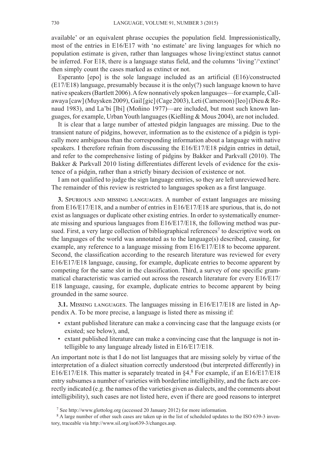available' or an equivalent phrase occupies the population field. Impressionistically, most of the entries in E16/E17 with 'no estimate' are living languages for which no population estimate is given, rather than languages whose living/extinct status cannot be inferred. For E18, there is a language status field, and the columns 'living'/'extinct' then simply count the cases marked as extinct or not.

Esperanto [epo] is the sole language included as an artificial (E16)/constructed (E17/E18) language, presumably because it is the only(?) such language known to have native speakers (Bartlett 2006).Afew nonnatively spoken languages—for example, Callawaya [caw] (Muysken 2009), Gail [gic] (Cage 2003), Leti (Cameroon) [leo] (Dieu & Renaud 1983), and La'bi [lbi] (Moñino 1977)—are included, but most such known languages, for example, Urban Youth languages (Kießling & Mous 2004), are not included.

It is clear that a large number of attested pidgin languages are missing. Due to the transient nature of pidgins, however, information as to the existence of a pidgin is typically more ambiguous than the corresponding information about a language with native speakers. I therefore refrain from discussing the E16/E17/E18 pidgin entries in detail, and refer to the comprehensive listing of pidgins by Bakker and Parkvall (2010). The Bakker & Parkvall 2010 listing differentiates different levels of evidence for the existence of a pidgin, rather than a strictly binary decision of existence or not.

I am not qualified to judge the sign language entries, so they are left unreviewed here. The remainder of this review is restricted to languages spoken as a first language.

**3.** Spurious and missing languages. A number of extant languages are missing from E16/E17/E18, and a number of entries in E16/E17/E18 are spurious, that is, do not exist as languages or duplicate other existing entries. In order to systematically enumerate missing and spurious languages from E16/E17/E18, the following method was pursued. First, a very large collection of bibliographical references<sup>7</sup> to descriptive work on the languages of the world was annotated as to the language(s) described, causing, for example, any reference to a language missing from E16/E17/E18 to become apparent. Second, the classification according to the research literature was reviewed for every E16/E17/E18 language, causing, for example, duplicate entries to become apparent by competing for the same slot in the classification. Third, a survey of one specific grammatical characteristic was carried out across the research literature for every E16/E17/ E18 language, causing, for example, duplicate entries to become apparent by being grounded in the same source.

**3.1.** Missing languages. The languages missing in E16/E17/E18 are listed in Appendix A. To be more precise, a language is listed there as missing if:

- extant published literature can make a convincing case that the language exists (or existed; see below), and,
- extant published literature can make a convincing case that the language is not intelligible to any language already listed in E16/E17/E18.

An important note is that I do not list languages that are missing solely by virtue of the interpretation of a dialect situation correctly understood (but interpreted differently) in E16/E17/E18. This matter is separately treated in §4.8 For example, if an E16/E17/E18 entry subsumes a number of varieties with borderline intelligibility, and the facts are correctly indicated (e.g. the names of the varieties given as dialects, and the comments about intelligibility), such cases are not listed here, even if there are good reasons to interpret

<sup>7</sup> See http://www.glottolog.org (accessed 20 January 2012) for more information.

<sup>&</sup>lt;sup>8</sup> A large number of other such cases are taken up in the list of scheduled updates to the ISO 639-3 inventory, traceable via [http://www.sil.org/iso639-3/changes.asp.](http://www.sil.org/iso639-3/changes.asp)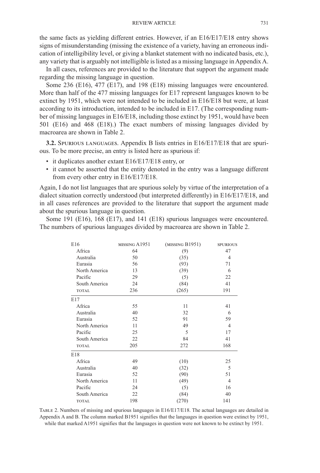the same facts as yielding different entries. However, if an E16/E17/E18 entry shows signs of misunderstanding (missing the existence of a variety, having an erroneous indication of intelligibility level, or giving a blanket statement with no indicated basis, etc.), any variety that is arguably not intelligible is listed as a missing language in Appendix A.

In all cases, references are provided to the literature that support the argument made regarding the missing language in question.

Some 236 (E16), 477 (E17), and 198 (E18) missing languages were encountered. More than half of the 477 missing languages for E17 represent languages known to be extinct by 1951, which were not intended to be included in E16/E18 but were, at least according to its introduction, intended to be included in E17. (The corresponding number of missing languages in E16/E18, including those extinct by 1951, would have been 501 (E16) and 468 (E18).) The exact numbers of missing languages divided by macroarea are shown in Table 2.

**3.2.** SPURIOUS LANGUAGES. Appendix B lists entries in E16/E17/E18 that are spurious. To be more precise, an entry is listed here as spurious if:

- it duplicates another extant E16/E17/E18 entry, or
- it cannot be asserted that the entity denoted in the entry was a language different from every other entry in E16/E17/E18.

Again, I do not list languages that are spurious solely by virtue of the interpretation of a dialect situation correctly understood (but interpreted differently) in E16/E17/E18, and in all cases references are provided to the literature that support the argument made about the spurious language in question.

Some 191 (E16), 168 (E17), and 141 (E18) spurious languages were encountered. The numbers of spurious languages divided by macroarea are shown in Table 2.

| E16           | MISSING A1951 | (MISSING B1951) | <b>SPURIOUS</b> |
|---------------|---------------|-----------------|-----------------|
| Africa        | 64            | (9)             | 47              |
| Australia     | 50            | (35)            | $\overline{4}$  |
| Eurasia       | 56            | (93)            | 71              |
| North America | 13            | (39)            | 6               |
| Pacific       | 29            | (5)             | 22              |
| South America | 24            | (84)            | 41              |
| <b>TOTAL</b>  | 236           | (265)           | 191             |
| E17           |               |                 |                 |
| Africa        | 55            | 11              | 41              |
| Australia     | 40            | 32              | 6               |
| Eurasia       | 52            | 91              | 59              |
| North America | 11            | 49              | $\overline{4}$  |
| Pacific       | 25            | 5               | 17              |
| South America | 22            | 84              | 41              |
| <b>TOTAL</b>  | 205           | 272             | 168             |
| E18           |               |                 |                 |
| Africa        | 49            | (10)            | 25              |
| Australia     | 40            | (32)            | 5               |
| Eurasia       | 52            | (90)            | 51              |
| North America | 11            | (49)            | $\overline{4}$  |
| Pacific       | 24            | (5)             | 16              |
| South America | 22            | (84)            | 40              |
| <b>TOTAL</b>  | 198           | (270)           | 141             |

Table 2. Numbers of missing and spurious languages in E16/E17/E18. The actual languages are detailed in Appendix A and B. The column marked B1951 signifies that the languages in question were extinct by 1951, while that marked A1951 signifies that the languages in question were not known to be extinct by 1951.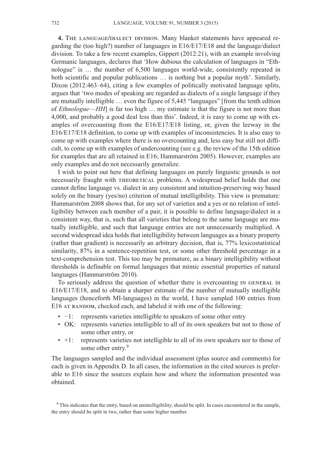**4.** The language/dialect division. Many blanket statements have appeared regarding the (too high?) number of languages in E16/E17/E18 and the language/dialect division. To take a few recent examples, Gippert (2012:21), with an example involving Germanic languages, declares that 'How dubious the calculation of languages in "Ethnologue" is … the number of 6,500 languages world-wide, consistently repeated in both scientific and popular publications … is nothing but a popular myth'. Similarly, Dixon (2012:463–64), citing a few examples of politically motivated language splits, argues that 'two modes of speaking are regarded as dialects of a single language if they are mutually intelligible … even the figure of 5,445 "languages" [from the tenth edition of *Ethnologue*—*HH*] is far too high … my estimate is that the figure is not more than 4,000, and probably a good deal less than this'. Indeed, it is easy to come up with examples of overcounting from the E16/E17/E18 listing, or, given the leeway in the E16/E17/E18 definition, to come up with examples of inconsistencies. It is also easy to come up with examples where there is no overcounting and, less easy but still not difficult, to come up with examples of undercounting (see e.g. the review of the 15th edition for examples that are all retained in E16; Hammarström 2005). However, examples are only examples and do not necessarily generalize.

I wish to point out here that defining languages on purely linguistic grounds is not necessarily fraught with THEORETICAL problems. A widespread belief holds that one cannot define language vs. dialect in any consistent and intuition-preserving way based solely on the binary (yes/no) criterion of mutual intelligibility. This view is premature: Hammarström 2008 shows that, for any set of varieties and a yes or no relation of intelligibility between each member of a pair, it is possible to define language/dialect in a consistent way, that is, such that all varieties that belong to the same language are mutually intelligible, and such that language entries are not unnecessarily multiplied. A second widespread idea holds that intelligibility between languages as a binary property (rather than gradient) is necessarily an arbitrary decision, that is, 77% lexicostatistical similarity, 87% in a sentence-repetition test, or some other threshold percentage in a text-comprehension test. This too may be premature, as a binary intelligibility without thresholds is definable on formal languages that mimic essential properties of natural languages (Hammarström 2010).

To seriously address the question of whether there is overcounting in general in E16/E17/E18, and to obtain a sharper estimate of the number of mutually intelligible languages (henceforth MI-languages) in the world, I have sampled 100 entries from E16 AT RANDOM, checked each, and labeled it with one of the following:

- −1: represents varieties intelligible to speakers of some other entry
- OK: represents varieties intelligible to all of its own speakers but not to those of some other entry, or
- +1: represents varieties not intelligible to all of its own speakers nor to those of some other entry.<sup>9</sup>

The languages sampled and the individual assessment (plus source and comments) for each is given in Appendix D. In all cases, the information in the cited sources is preferable to E16 since the sources explain how and where the information presented was obtained.

<sup>9</sup> This indicates that the entry, based on unintelligibility, should be split. In cases encountered in the sample, the entry should be split in two, rather than some higher number.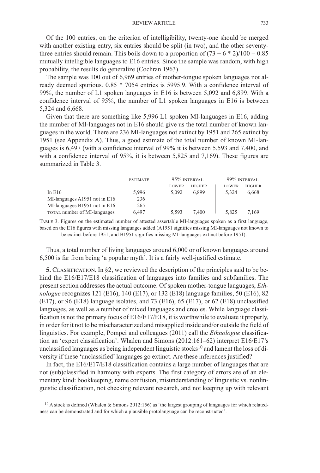#### REVIEW ARTICLE 733

Of the 100 entries, on the criterion of intelligibility, twenty-one should be merged with another existing entry, six entries should be split (in two), and the other seventythree entries should remain. This boils down to a proportion of  $(73 + 6 * 2)/100 = 0.85$ mutually intelligible languages to E16 entries. Since the sample was random, with high probability, the results do generalize (Cochran 1963).

The sample was 100 out of 6,969 entries of mother-tongue spoken languages not already deemed spurious. 0.85 \* 7054 entries is 5995.9. With a confidence interval of 99%, the number of L1 spoken languages in E16 is between 5,092 and 6,899. With a confidence interval of 95%, the number of L1 spoken languages in E16 is between 5,324 and 6,668.

Given that there are something like 5,996 L1 spoken MI-languages in E16, adding the number of MI-languages not in E16 should give us the total number of known languages in the world. There are 236 MI-languages not extinct by 1951 and 265 extinct by 1951 (see Appendix A). Thus, a good estimate of the total number of known MI-languages is 6,497 (with a confidence interval of 99% it is between 5,593 and 7,400, and with a confidence interval of 95%, it is between 5,825 and 7,169). These figures are summarized in Table 3.

|                               | <b>ESTIMATE</b> | 95% INTERVAL |               | 99% INTERVAL |               |
|-------------------------------|-----------------|--------------|---------------|--------------|---------------|
|                               |                 | <b>LOWER</b> | <b>HIGHER</b> | <b>LOWER</b> | <b>HIGHER</b> |
| In $E16$                      | 5.996           | 5.092        | 6.899         | 5.324        | 6,668         |
| MI-languages A1951 not in E16 | 236             |              |               |              |               |
| MI-languages B1951 not in E16 | 265             |              |               |              |               |
| TOTAL number of MI-languages  | 6.497           | 5.593        | 7.400         | 5.825        | 7.169         |

Table 3. Figures on the estimated number of attested assertable MI-languages spoken as a first language, based on the E16 figures with missing languages added (A1951 signifies missing MI-languages not known to be extinct before 1951, and B1951 signifies missing MI-languages extinct before 1951).

Thus, a total number of living languages around 6,000 or of known languages around 6,500 is far from being 'a popular myth'. It is a fairly well-justified estimate.

**5.** CLASSIFICATION. In §2, we reviewed the description of the principles said to be behind the E16/E17/E18 classification of languages into families and subfamilies. The present section addresses the actual outcome. Of spoken mother-tongue languages, *Ethnologue* recognizes 121 (E16), 140 (E17), or 132 (E18) language families, 50 (E16), 82 (E17), or 96 (E18) language isolates, and 73 (E16), 65 (E17), or 62 (E18) unclassified languages, as well as a number of mixed languages and creoles. While language classification is not the primary focus of E16/E17/E18, it is worthwhile to evaluate it properly, in order for it not to be mischaracterized and misapplied inside and/or outside the field of linguistics. For example, Pompei and colleagues (2011) call the *Ethnologue* classification an 'expert classification'. Whalen and Simons (2012:161–62) interpret E16/E17's unclassified languages as being independent linguistic stocks<sup>10</sup> and lament the loss of diversity if these 'unclassified' languages go extinct. Are these inferences justified?

In fact, the E16/E17/E18 classification contains a large number of languages that are not (sub)classified in harmony with experts. The first category of errors are of an elementary kind: bookkeeping, name confusion, misunderstanding of linguistic vs. nonlinguistic classification, not checking relevant research, and not keeping up with relevant

<sup>&</sup>lt;sup>10</sup> A stock is defined (Whalen & Simons 2012:156) as 'the largest grouping of languages for which relatedness can be demonstrated and for which a plausible protolanguage can be reconstructed'.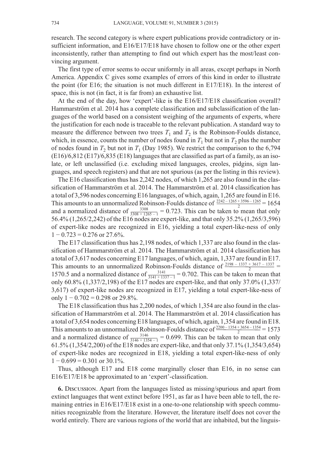research. The second category is where expert publications provide contradictory or insufficient information, and E16/E17/E18 have chosen to follow one or the other expert inconsistently, rather than attempting to find out which expert has the most/least convincing argument.

The first type of error seems to occur uniformly in all areas, except perhaps in North America. Appendix C gives some examples of errors of this kind in order to illustrate the point (for E16; the situation is not much different in E17/E18). In the interest of space, this is not (in fact, it is far from) an exhaustive list.

At the end of the day, how 'expert'-like is the E16/E17/E18 classification overall? Hammarström et al. 2014 has a complete classification and subclassification of the languages of the world based on a consistent weighing of the arguments of experts, where the justification for each node is traceable to the relevant publication. A standard way to measure the difference between two trees  $T_1$  and  $T_2$  is the Robinson-Foulds distance, which, in essence, counts the number of nodes found in  $T_1$  but not in  $T_2$  plus the number of nodes found in  $T_2$  but not in  $T_1$  (Day 1985). We restrict the comparison to the 6,794 (E16)/6,812 (E17)/6,835 (E18) languages that are classified as part of a family, as an isolate, or left unclassified (i.e. excluding mixed languages, creoles, pidgins, sign languages, and speech registers) and that are not spurious (as per the listing in this review).

The E16 classification thus has 2,242 nodes, of which 1,265 are also found in the classification of Hammarström et al. 2014. The Hammarström et al. 2014 classification has a total of 3,596 nodes concerning E16 languages, of which, again, 1,265 are found in E16. This amounts to an unnormalized Robinson-Foulds distance of  $\frac{2242 - 1265 + 3596 - 1265}{2} = 1654$ and a normalized distance of  $\frac{3308}{3308 + 1265 - 1} = 0.723$ . This can be taken to mean that only 56.4% (1,265/2,242) of the E16 nodes are expert-like, and that only 35.2% (1,265/3,596) of expert-like nodes are recognized in E16, yielding a total expert-like-ness of only  $1 - 0.723 = 0.276$  or 27.6%.

The E17 classification thus has 2,198 nodes, of which 1,337 are also found in the classification of Hammarström et al. 2014. The Hammarström et al. 2014 classification has a total of 3,617 nodes concerning E17 languages, of which, again, 1,337 are found in E17. This amounts to an unnormalized Robinson-Foulds distance of  $\frac{2198-1337+3617-1337}{2}$ 1570.5 and a normalized distance of  $\frac{3141}{3141 + 1337 - 1} = 0.702$ . This can be taken to mean that only 60.8% (1,337/2,198) of the E17 nodes are expert-like, and that only 37.0% (1,337/ 3,617) of expert-like nodes are recognized in E17, yielding a total expert-like-ness of only  $1 - 0.702 = 0.298$  or 29.8%.

The E18 classification thus has 2,200 nodes, of which 1,354 are also found in the classification of Hammarström et al. 2014. The Hammarström et al. 2014 classification has a total of 3,654 nodes concerning E18 languages, of which, again, 1,354 are found in E18. This amounts to an unnormalized Robinson-Foulds distance of  $\frac{2200 - 1354 + 3654 - 1354}{2} = 1573$ and a normalized distance of  $\frac{3146}{3146 + 1354 - 1} = 0.699$ . This can be taken to mean that only 61.5% (1,354/2,200) of the E18 nodes are expert-like, and that only 37.1% (1,354/3,654) of expert-like nodes are recognized in E18, yielding a total expert-like-ness of only  $1 - 0.699 = 0.301$  or 30.1%.

Thus, although E17 and E18 come marginally closer than E16, in no sense can E16/E17/E18 be approximated to an 'expert'-classification.

**6.** Discussion. Apart from the languages listed as missing/spurious and apart from extinct languages that went extinct before 1951, as far as I have been able to tell, the remaining entries in E16/E17/E18 exist in a one-to-one relationship with speech communities recognizable from the literature. However, the literature itself does not cover the world entirely. There are various regions of the world that are inhabited, but the linguis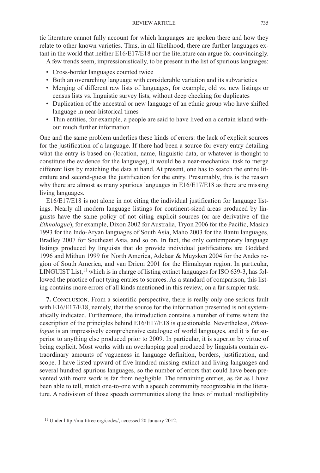tic literature cannot fully account for which languages are spoken there and how they relate to other known varieties. Thus, in all likelihood, there are further languages extant in the world that neither E16/E17/E18 nor the literature can argue for convincingly.

A few trends seem, impressionistically, to be present in the list of spurious languages:

- Cross-border languages counted twice
- Both an overarching language with considerable variation and its subvarieties
- Merging of different raw lists of languages, for example, old vs. new listings or census lists vs. linguistic survey lists, without deep checking for duplicates
- Duplication of the ancestral or new language of an ethnic group who have shifted language in near-historical times
- Thin entities, for example, a people are said to have lived on a certain island without much further information

One and the same problem underlies these kinds of errors: the lack of explicit sources for the justification of a language. If there had been a source for every entry detailing what the entry is based on (location, name, linguistic data, or whatever is thought to constitute the evidence for the language), it would be a near-mechanical task to merge different lists by matching the data at hand. At present, one has to search the entire literature and second-guess the justification for the entry. Presumably, this is the reason why there are almost as many spurious languages in E16/E17/E18 as there are missing living languages.

E16/E17/E18 is not alone in not citing the individual justification for language listings. Nearly all modern language listings for continent-sized areas produced by linguists have the same policy of not citing explicit sources (or are derivative of the *Ethnologue*), for example, Dixon 2002 for Australia, Tryon 2006 for the Pacific, Masica 1993 for the Indo-Aryan languages of South Asia, Maho 2003 for the Bantu languages, Bradley 2007 for Southeast Asia, and so on. In fact, the only contemporary language listings produced by linguists that do provide individual justifications are Goddard 1996 and Mithun 1999 for North America, Adelaar & Muysken 2004 for the Andes region of South America, and van Driem 2001 for the Himalayan region. In particular, LINGUIST List,<sup>11</sup> which is in charge of listing extinct languages for ISO 639-3, has followed the practice of not tying entries to sources. As a standard of comparison, this listing contains more errors of all kinds mentioned in this review, on a far simpler task.

**7.** Conclusion. From a scientific perspective, there is really only one serious fault with E16/E17/E18, namely, that the source for the information presented is not systematically indicated. Furthermore, the introduction contains a number of items where the description of the principles behind E16/E17/E18 is questionable. Nevertheless, *Ethnologue* is an impressively comprehensive catalogue of world languages, and it is far superior to anything else produced prior to 2009. In particular, it is superior by virtue of being explicit. Most works with an overlapping goal produced by linguists contain extraordinary amounts of vagueness in language definition, borders, justification, and scope. I have listed upward of five hundred missing extinct and living languages and several hundred spurious languages, so the number of errors that could have been prevented with more work is far from negligible. The remaining entries, as far as I have been able to tell, match one-to-one with a speech community recognizable in the literature. A redivision of those speech communities along the lines of mutual intelligibility

<sup>11</sup> Under http://multitree.org/codes/, accessed 20 January 2012.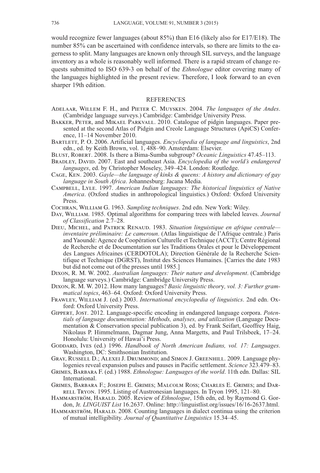would recognize fewer languages (about 85%) than E16 (likely also for E17/E18). The number 85% can be ascertained with confidence intervals, so there are limits to the eagerness to split. Many languages are known only through SIL surveys, and the language inventory as a whole is reasonably well informed. There is a rapid stream of change requests submitted to ISO 639-3 on behalf of the *Ethnologue* editor covering many of the languages highlighted in the present review. Therefore, I look forward to an even sharper 19th edition.

## REFERENCES

- Adelaar, Willem F. H., and Pieter C. Muysken. 2004. *The languages of the Andes*. (Cambridge language surveys.) Cambridge: Cambridge University Press.
- BAKKER, PETER, and MIKAEL PARKVALL. 2010. Catalogue of pidgin languages. Paper presented at the second Atlas of Pidgin and Creole Language Structures (ApiCS) Conference, 11–14 November 2010.
- Bartlett, P. O. 2006. Artificial languages. *Encyclopedia of language and linguistics*, 2nd edn., ed. by Keith Brown, vol. 1, 488–90. Amsterdam: Elsevier.
- Blust, Robert. 2008. Is there a Bima-Sumba subgroup? *Oceanic Linguistics* 47.45–113.
- BRADLEY, DAVID. 2007. East and southeast Asia. *Encyclopedia of the world's endangered languages*, ed. by Christopher Moseley, 349–424. London: Routledge.
- Cage, Ken. 2003. *Gayle—the language of kinks & queens: A history and dictionary of gay language in South Africa*. Johannesburg: Jacana Media.
- Campbell, Lyle. 1997. *American Indian languages: The historical linguistics of Native America*. (Oxford studies in anthropological linguistics.) Oxford: Oxford University Press.
- Cochran, William G. 1963. *Sampling techniques*. 2nd edn. New York: Wiley.
- Day, William. 1985. Optimal algorithms for comparing trees with labeled leaves. *Journal of Classification* 2.7–28.
- DIEU, MICHEL, and PATRICK RENAUD. 1983. Situation linguistique en afrique centrale *inventaire préliminaire: Le cameroun*. (Atlas linguistique de l'Afrique centrale.) Paris and Yaoundé: Agence de Coopération Culturelle et Technique (ACCT); Centre Régional de Recherche et de Documentation sur les Traditions Orales et pour le Développement des Langues Africaines (CERDOTOLA); Direction Générale de la Recherche Scientifique et Technique (DGRST), Institut des Sciences Humaines. [Carries the date 1983 but did not come out of the presses until 1985.]
- Dixon, R. M. W. 2002. *Australian languages: Their nature and development*. (Cambridge language surveys.) Cambridge: Cambridge University Press.
- Dixon, R. M. W. 2012. How many languages? *Basic linguistic theor*y*, vol. 3: Further grammatical topics*, 463–64. Oxford: Oxford University Press.
- Frawley, William J. (ed.) 2003. *International encyclopedia of linguistics*. 2nd edn. Oxford: Oxford University Press.
- Gippert, Jost. 2012. Language-specific encoding in endangered language corpora. *Potentials of language documentation: Methods, analyses, and utilization* (Language Documentation & Conservation special publication 3), ed. by Frank Seifart, Geoffrey Haig, Nikolaus P. Himmelmann, Dagmar Jung, Anna Margetts, and Paul Trilsbeek, 17–24. Honolulu: University of Hawai'i Press.
- GODDARD, Ives (ed.) 1996. *Handbook of North American Indians, vol. 17: Languages*. Washington, DC: Smithsonian Institution.
- GRAY, RUSSELL D.; ALEXEI J. DRUMMOND; and SIMON J. GREENHILL. 2009. Language phylogenies reveal expansion pulses and pauses in Pacific settlement. *Science* 323.479–83.
- Grimes, Barbara F. (ed.) 1988. *Ethnologue: Languages of the world*. 11th edn. Dallas: SIL International.
- Grimes, Barbara F.; Joseph E. Grimes; Malcolm Ross; Charles E. Grimes; and Darrell Tryon. 1995. Listing of Austronesian languages. In Tryon 1995, 121–80.
- HAMMARSTRÖM, HARALD. 2005. Review of *Ethnologue*, 15th edn, ed. by Raymond G. Gordon, Jr. *LINGUIST List* 16.2637. Online: http://linguistlist.org/issues/16/16-2637.html.
- Hammarström, Harald. 2008. Counting languages in dialect continua using the criterion of mutual intelligibility. *Journal of Quantitative Linguistics* 15.34–45.